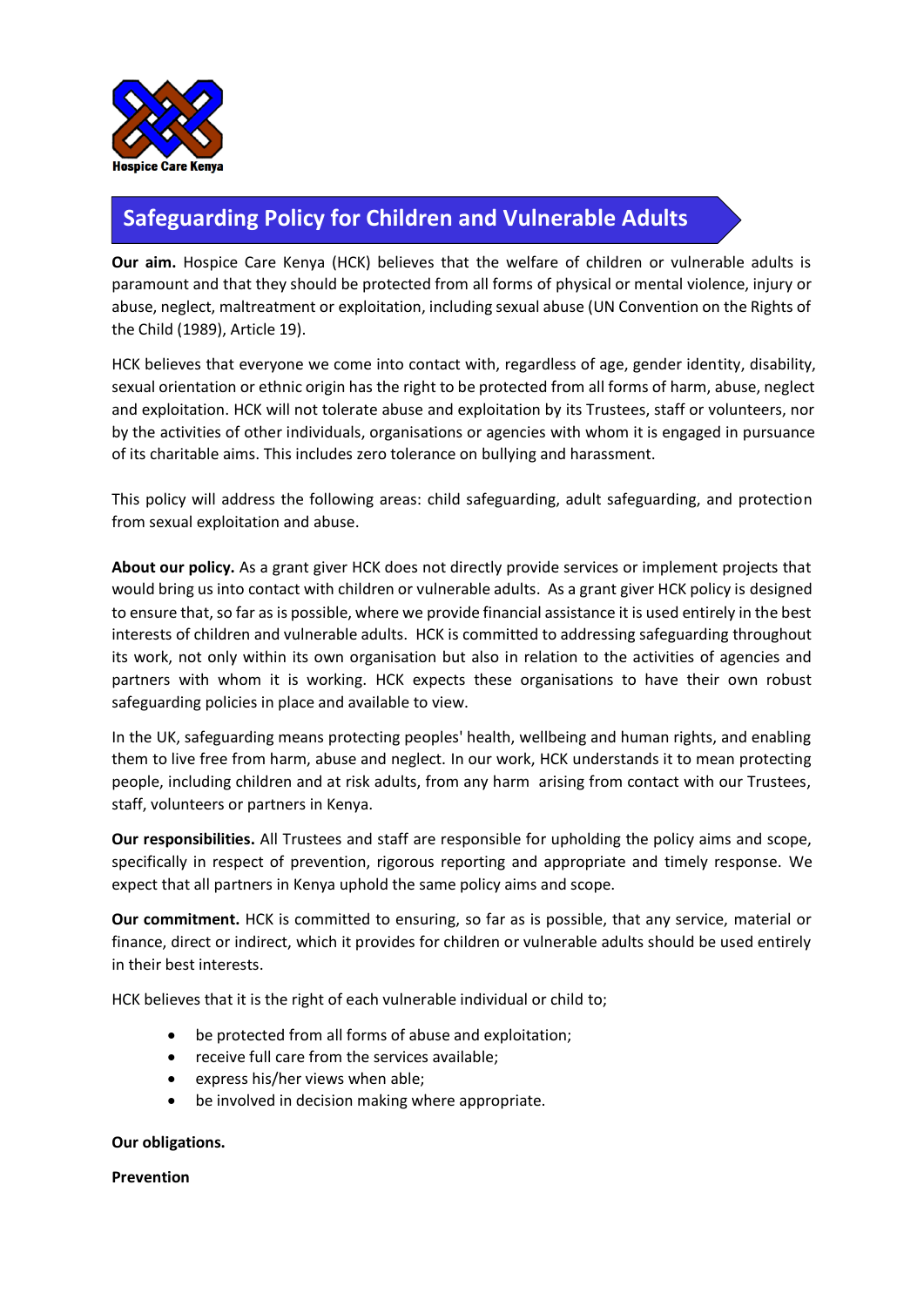

# **Safeguarding Policy for Children and Vulnerable Adults**

**Our aim.** Hospice Care Kenya (HCK) believes that the welfare of children or vulnerable adults is paramount and that they should be protected from all forms of physical or mental violence, injury or abuse, neglect, maltreatment or exploitation, including sexual abuse (UN Convention on the Rights of the Child (1989), Article 19).

HCK believes that everyone we come into contact with, regardless of age, gender identity, disability, sexual orientation or ethnic origin has the right to be protected from all forms of harm, abuse, neglect and exploitation. HCK will not tolerate abuse and exploitation by its Trustees, staff or volunteers, nor by the activities of other individuals, organisations or agencies with whom it is engaged in pursuance of its charitable aims. This includes zero tolerance on bullying and harassment.

This policy will address the following areas: child safeguarding, adult safeguarding, and protection from sexual exploitation and abuse.

**About our policy.** As a grant giver HCK does not directly provide services or implement projects that would bring us into contact with children or vulnerable adults. As a grant giver HCK policy is designed to ensure that, so far as is possible, where we provide financial assistance it is used entirely in the best interests of children and vulnerable adults. HCK is committed to addressing safeguarding throughout its work, not only within its own organisation but also in relation to the activities of agencies and partners with whom it is working. HCK expects these organisations to have their own robust safeguarding policies in place and available to view.

In the UK, safeguarding means protecting peoples' health, wellbeing and human rights, and enabling them to live free from harm, abuse and neglect. In our work, HCK understands it to mean protecting people, including children and at risk adults, from any harm arising from contact with our Trustees, staff, volunteers or partners in Kenya.

**Our responsibilities.** All Trustees and staff are responsible for upholding the policy aims and scope, specifically in respect of prevention, rigorous reporting and appropriate and timely response. We expect that all partners in Kenya uphold the same policy aims and scope.

**Our commitment.** HCK is committed to ensuring, so far as is possible, that any service, material or finance, direct or indirect, which it provides for children or vulnerable adults should be used entirely in their best interests.

HCK believes that it is the right of each vulnerable individual or child to;

- be protected from all forms of abuse and exploitation;
- receive full care from the services available;
- express his/her views when able;
- be involved in decision making where appropriate.

### **Our obligations.**

**Prevention**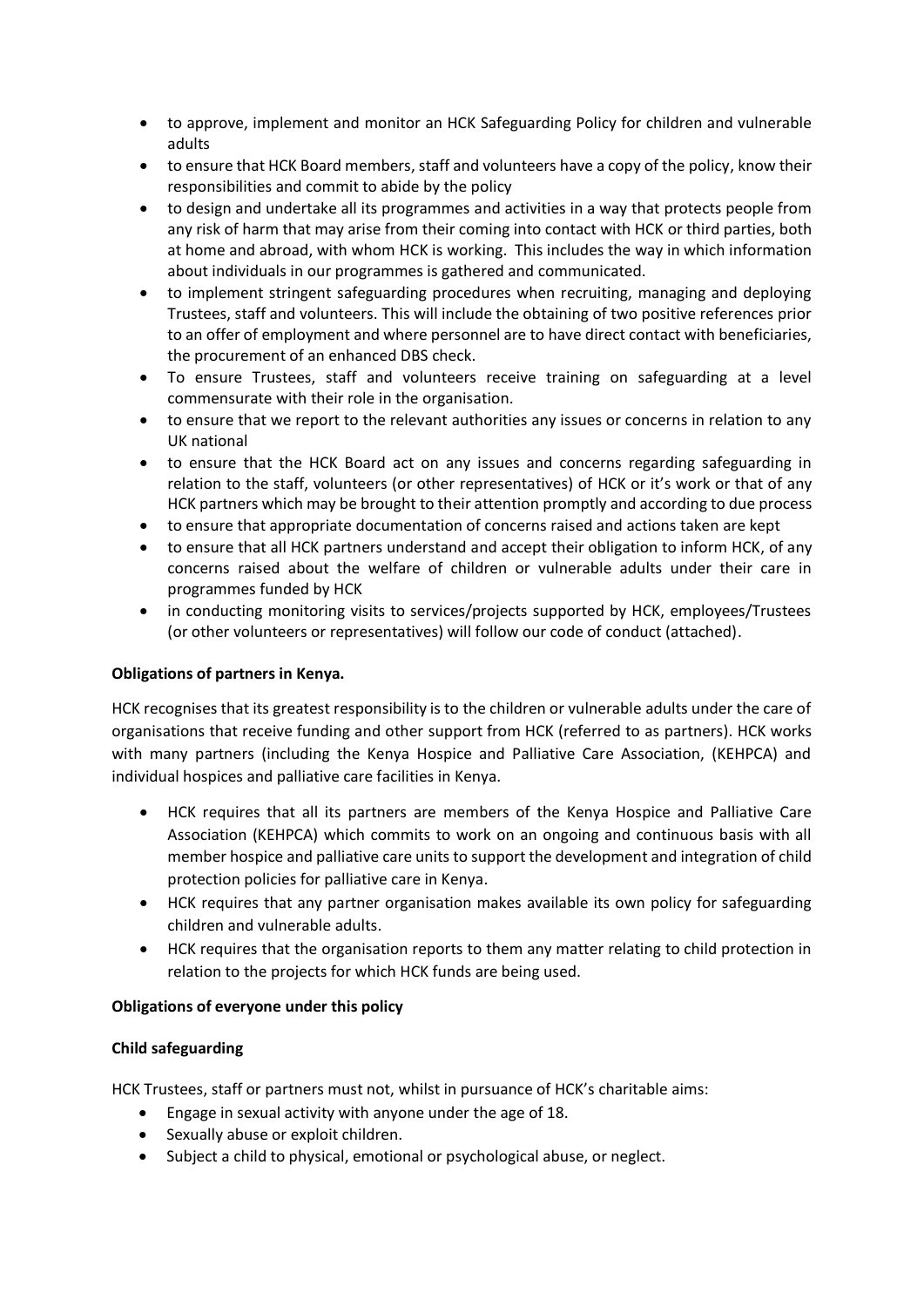- to approve, implement and monitor an HCK Safeguarding Policy for children and vulnerable adults
- to ensure that HCK Board members, staff and volunteers have a copy of the policy, know their responsibilities and commit to abide by the policy
- to design and undertake all its programmes and activities in a way that protects people from any risk of harm that may arise from their coming into contact with HCK or third parties, both at home and abroad, with whom HCK is working. This includes the way in which information about individuals in our programmes is gathered and communicated.
- to implement stringent safeguarding procedures when recruiting, managing and deploying Trustees, staff and volunteers. This will include the obtaining of two positive references prior to an offer of employment and where personnel are to have direct contact with beneficiaries, the procurement of an enhanced DBS check.
- To ensure Trustees, staff and volunteers receive training on safeguarding at a level commensurate with their role in the organisation.
- to ensure that we report to the relevant authorities any issues or concerns in relation to any UK national
- to ensure that the HCK Board act on any issues and concerns regarding safeguarding in relation to the staff, volunteers (or other representatives) of HCK or it's work or that of any HCK partners which may be brought to their attention promptly and according to due process
- to ensure that appropriate documentation of concerns raised and actions taken are kept
- to ensure that all HCK partners understand and accept their obligation to inform HCK, of any concerns raised about the welfare of children or vulnerable adults under their care in programmes funded by HCK
- in conducting monitoring visits to services/projects supported by HCK, employees/Trustees (or other volunteers or representatives) will follow our code of conduct (attached).

#### **Obligations of partners in Kenya.**

HCK recognises that its greatest responsibility is to the children or vulnerable adults under the care of organisations that receive funding and other support from HCK (referred to as partners). HCK works with many partners (including the Kenya Hospice and Palliative Care Association, (KEHPCA) and individual hospices and palliative care facilities in Kenya.

- HCK requires that all its partners are members of the Kenya Hospice and Palliative Care Association (KEHPCA) which commits to work on an ongoing and continuous basis with all member hospice and palliative care units to support the development and integration of child protection policies for palliative care in Kenya.
- HCK requires that any partner organisation makes available its own policy for safeguarding children and vulnerable adults.
- HCK requires that the organisation reports to them any matter relating to child protection in relation to the projects for which HCK funds are being used.

#### **Obligations of everyone under this policy**

## **Child safeguarding**

HCK Trustees, staff or partners must not, whilst in pursuance of HCK's charitable aims:

- Engage in sexual activity with anyone under the age of 18.
- Sexually abuse or exploit children.
- Subject a child to physical, emotional or psychological abuse, or neglect.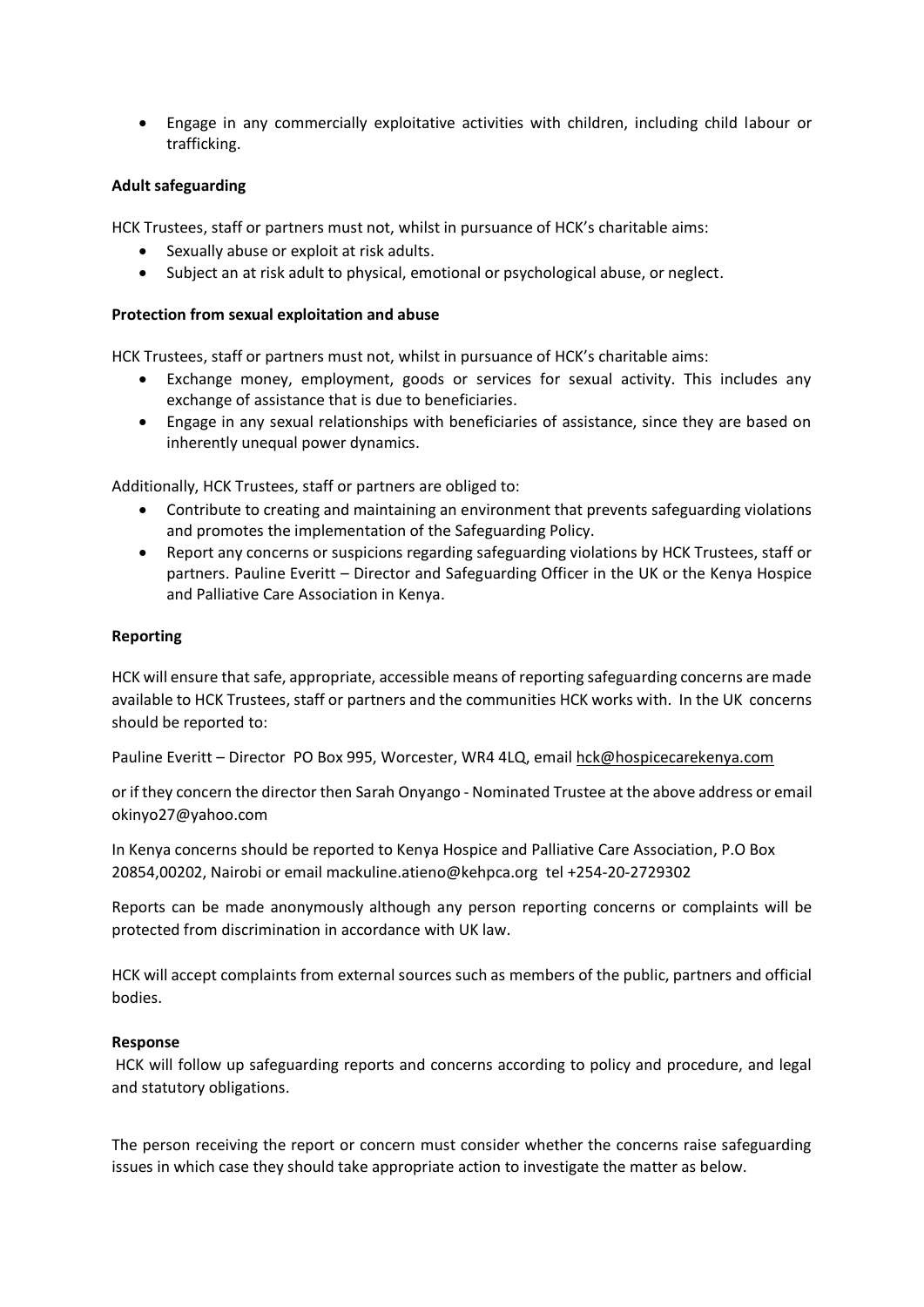• Engage in any commercially exploitative activities with children, including child labour or trafficking.

#### **Adult safeguarding**

HCK Trustees, staff or partners must not, whilst in pursuance of HCK's charitable aims:

- Sexually abuse or exploit at risk adults.
- Subject an at risk adult to physical, emotional or psychological abuse, or neglect.

#### **Protection from sexual exploitation and abuse**

HCK Trustees, staff or partners must not, whilst in pursuance of HCK's charitable aims:

- Exchange money, employment, goods or services for sexual activity. This includes any exchange of assistance that is due to beneficiaries.
- Engage in any sexual relationships with beneficiaries of assistance, since they are based on inherently unequal power dynamics.

Additionally, HCK Trustees, staff or partners are obliged to:

- Contribute to creating and maintaining an environment that prevents safeguarding violations and promotes the implementation of the Safeguarding Policy.
- Report any concerns or suspicions regarding safeguarding violations by HCK Trustees, staff or partners. Pauline Everitt – Director and Safeguarding Officer in the UK or the Kenya Hospice and Palliative Care Association in Kenya.

#### **Reporting**

HCK will ensure that safe, appropriate, accessible means of reporting safeguarding concerns are made available to HCK Trustees, staff or partners and the communities HCK works with. In the UK concerns should be reported to:

Pauline Everitt – Director PO Box 995, Worcester, WR4 4LQ, email [hck@hospicecarekenya.com](mailto:hck@hospicecarekenya.com)

or if they concern the director then Sarah Onyango - Nominated Trustee at the above address or email okinyo27@yahoo.com

In Kenya concerns should be reported to Kenya Hospice and Palliative Care Association, P.O Box 20854,00202, Nairobi or email mackuline.atieno@kehpca.org tel +254-20-2729302

Reports can be made anonymously although any person reporting concerns or complaints will be protected from discrimination in accordance with UK law.

HCK will accept complaints from external sources such as members of the public, partners and official bodies.

#### **Response**

HCK will follow up safeguarding reports and concerns according to policy and procedure, and legal and statutory obligations.

The person receiving the report or concern must consider whether the concerns raise safeguarding issues in which case they should take appropriate action to investigate the matter as below.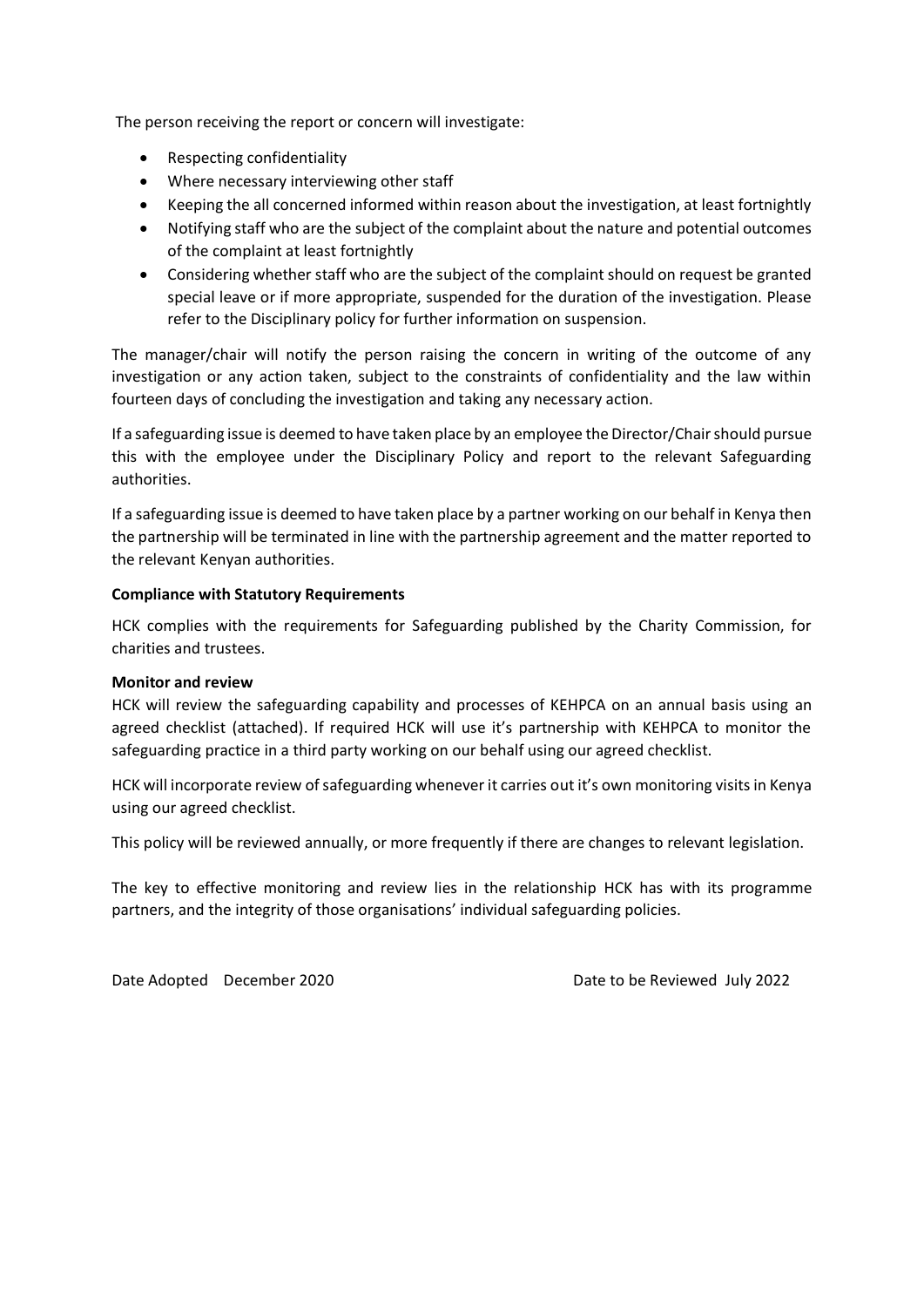The person receiving the report or concern will investigate:

- Respecting confidentiality
- Where necessary interviewing other staff
- Keeping the all concerned informed within reason about the investigation, at least fortnightly
- Notifying staff who are the subject of the complaint about the nature and potential outcomes of the complaint at least fortnightly
- Considering whether staff who are the subject of the complaint should on request be granted special leave or if more appropriate, suspended for the duration of the investigation. Please refer to the Disciplinary policy for further information on suspension.

The manager/chair will notify the person raising the concern in writing of the outcome of any investigation or any action taken, subject to the constraints of confidentiality and the law within fourteen days of concluding the investigation and taking any necessary action.

If a safeguarding issue is deemed to have taken place by an employee the Director/Chair should pursue this with the employee under the Disciplinary Policy and report to the relevant Safeguarding authorities.

If a safeguarding issue is deemed to have taken place by a partner working on our behalf in Kenya then the partnership will be terminated in line with the partnership agreement and the matter reported to the relevant Kenyan authorities.

#### **Compliance with Statutory Requirements**

HCK complies with the requirements for Safeguarding published by the Charity Commission, for charities and trustees.

#### **Monitor and review**

HCK will review the safeguarding capability and processes of KEHPCA on an annual basis using an agreed checklist (attached). If required HCK will use it's partnership with KEHPCA to monitor the safeguarding practice in a third party working on our behalf using our agreed checklist.

HCK will incorporate review of safeguarding whenever it carries out it's own monitoring visits in Kenya using our agreed checklist.

This policy will be reviewed annually, or more frequently if there are changes to relevant legislation.

The key to effective monitoring and review lies in the relationship HCK has with its programme partners, and the integrity of those organisations' individual safeguarding policies.

Date Adopted December 2020 Date to be Reviewed July 2022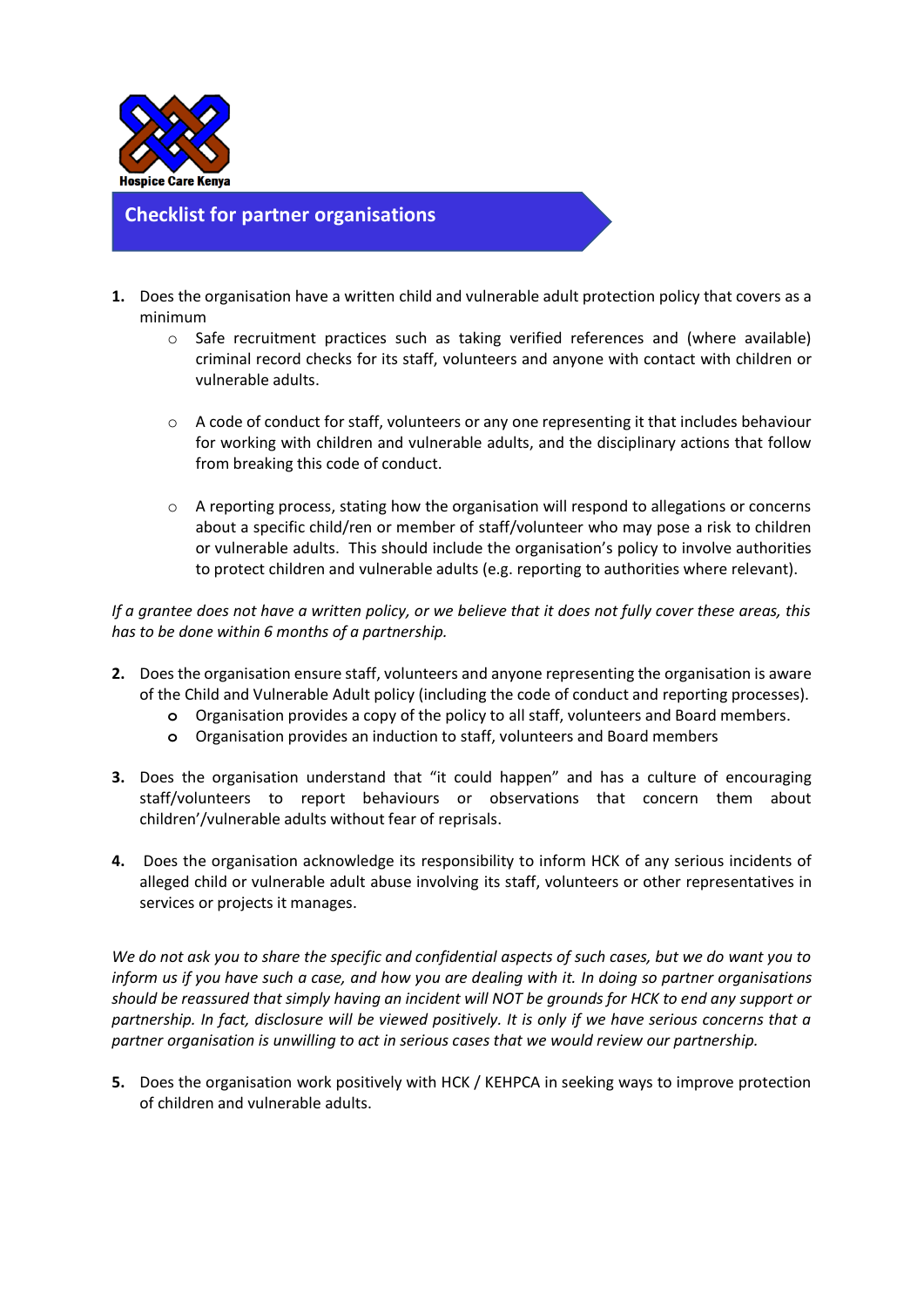

**Checklist for partner organisations**

- **1.** Does the organisation have a written child and vulnerable adult protection policy that covers as a minimum
	- $\circ$  Safe recruitment practices such as taking verified references and (where available) criminal record checks for its staff, volunteers and anyone with contact with children or vulnerable adults.
	- $\circ$  A code of conduct for staff, volunteers or any one representing it that includes behaviour for working with children and vulnerable adults, and the disciplinary actions that follow from breaking this code of conduct.
	- o A reporting process, stating how the organisation will respond to allegations or concerns about a specific child/ren or member of staff/volunteer who may pose a risk to children or vulnerable adults. This should include the organisation's policy to involve authorities to protect children and vulnerable adults (e.g. reporting to authorities where relevant).

*If a grantee does not have a written policy, or we believe that it does not fully cover these areas, this has to be done within 6 months of a partnership.*

- **2.** Does the organisation ensure staff, volunteers and anyone representing the organisation is aware of the Child and Vulnerable Adult policy (including the code of conduct and reporting processes).
	- **o** Organisation provides a copy of the policy to all staff, volunteers and Board members.
	- **o** Organisation provides an induction to staff, volunteers and Board members
- **3.** Does the organisation understand that "it could happen" and has a culture of encouraging staff/volunteers to report behaviours or observations that concern them about children'/vulnerable adults without fear of reprisals.
- **4.** Does the organisation acknowledge its responsibility to inform HCK of any serious incidents of alleged child or vulnerable adult abuse involving its staff, volunteers or other representatives in services or projects it manages.

*We do not ask you to share the specific and confidential aspects of such cases, but we do want you to inform us if you have such a case, and how you are dealing with it. In doing so partner organisations should be reassured that simply having an incident will NOT be grounds for HCK to end any support or partnership. In fact, disclosure will be viewed positively. It is only if we have serious concerns that a partner organisation is unwilling to act in serious cases that we would review our partnership.*

**5.** Does the organisation work positively with HCK / KEHPCA in seeking ways to improve protection of children and vulnerable adults.